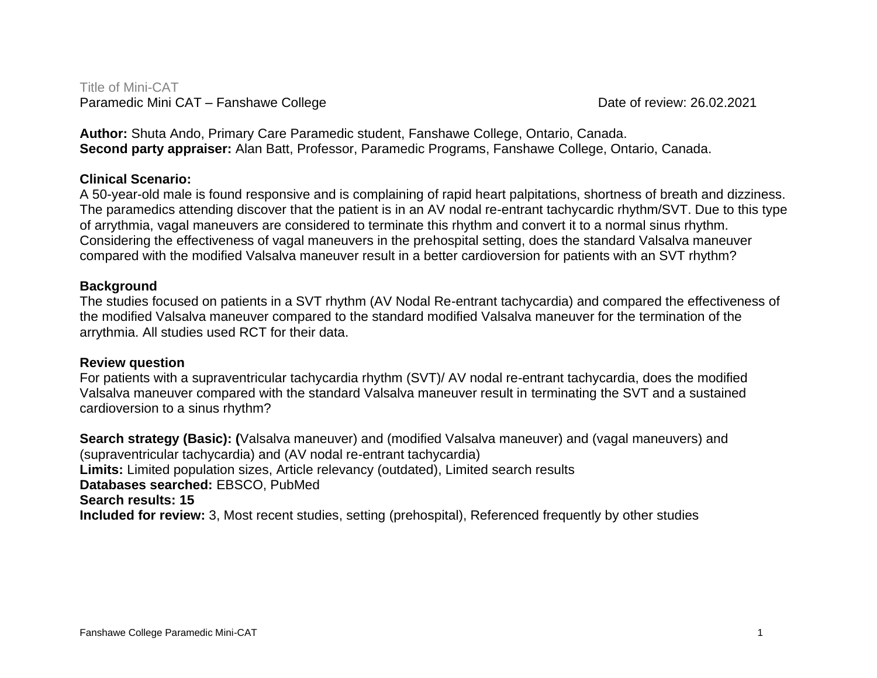Title of Mini-CAT Paramedic Mini CAT – Fanshawe College Date of review: 26.02.2021

**Author:** Shuta Ando, Primary Care Paramedic student, Fanshawe College, Ontario, Canada. **Second party appraiser:** Alan Batt, Professor, Paramedic Programs, Fanshawe College, Ontario, Canada.

# **Clinical Scenario:**

A 50-year-old male is found responsive and is complaining of rapid heart palpitations, shortness of breath and dizziness. The paramedics attending discover that the patient is in an AV nodal re-entrant tachycardic rhythm/SVT. Due to this type of arrythmia, vagal maneuvers are considered to terminate this rhythm and convert it to a normal sinus rhythm. Considering the effectiveness of vagal maneuvers in the prehospital setting, does the standard Valsalva maneuver compared with the modified Valsalva maneuver result in a better cardioversion for patients with an SVT rhythm?

## **Background**

The studies focused on patients in a SVT rhythm (AV Nodal Re-entrant tachycardia) and compared the effectiveness of the modified Valsalva maneuver compared to the standard modified Valsalva maneuver for the termination of the arrythmia. All studies used RCT for their data.

## **Review question**

For patients with a supraventricular tachycardia rhythm (SVT)/ AV nodal re-entrant tachycardia, does the modified Valsalva maneuver compared with the standard Valsalva maneuver result in terminating the SVT and a sustained cardioversion to a sinus rhythm?

**Search strategy (Basic): (**Valsalva maneuver) and (modified Valsalva maneuver) and (vagal maneuvers) and (supraventricular tachycardia) and (AV nodal re-entrant tachycardia) **Limits:** Limited population sizes, Article relevancy (outdated), Limited search results **Databases searched:** EBSCO, PubMed **Search results: 15 Included for review:** 3, Most recent studies, setting (prehospital), Referenced frequently by other studies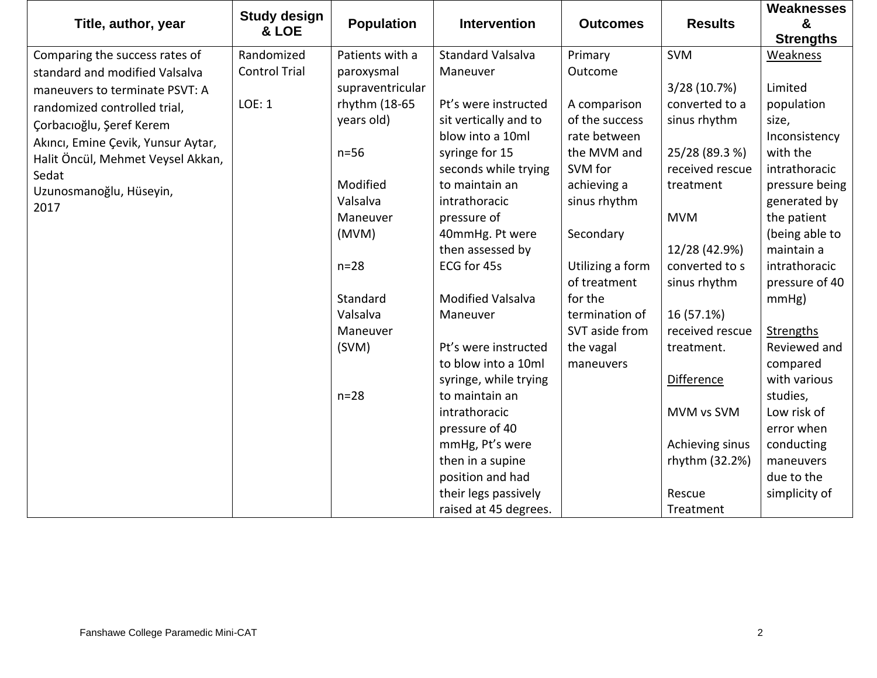|                                    | <b>Study design</b>  |                   |                          |                  |                   | <b>Weaknesses</b> |
|------------------------------------|----------------------|-------------------|--------------------------|------------------|-------------------|-------------------|
| Title, author, year                | & LOE                | <b>Population</b> | <b>Intervention</b>      | <b>Outcomes</b>  | <b>Results</b>    | &                 |
|                                    |                      |                   |                          |                  |                   | <b>Strengths</b>  |
| Comparing the success rates of     | Randomized           | Patients with a   | <b>Standard Valsalva</b> | Primary          | <b>SVM</b>        | Weakness          |
| standard and modified Valsalva     | <b>Control Trial</b> | paroxysmal        | Maneuver                 | Outcome          |                   |                   |
| maneuvers to terminate PSVT: A     |                      | supraventricular  |                          |                  | 3/28 (10.7%)      | Limited           |
| randomized controlled trial,       | LOE: 1               | rhythm (18-65     | Pt's were instructed     | A comparison     | converted to a    | population        |
| Çorbacıoğlu, Şeref Kerem           |                      | years old)        | sit vertically and to    | of the success   | sinus rhythm      | size,             |
| Akıncı, Emine Çevik, Yunsur Aytar, |                      |                   | blow into a 10ml         | rate between     |                   | Inconsistency     |
| Halit Öncül, Mehmet Veysel Akkan,  |                      | $n=56$            | syringe for 15           | the MVM and      | 25/28 (89.3 %)    | with the          |
| Sedat                              |                      |                   | seconds while trying     | SVM for          | received rescue   | intrathoracic     |
| Uzunosmanoğlu, Hüseyin,            |                      | Modified          | to maintain an           | achieving a      | treatment         | pressure being    |
| 2017                               |                      | Valsalva          | intrathoracic            | sinus rhythm     |                   | generated by      |
|                                    |                      | Maneuver          | pressure of              |                  | <b>MVM</b>        | the patient       |
|                                    |                      | (MVM)             | 40mmHg. Pt were          | Secondary        |                   | (being able to    |
|                                    |                      |                   | then assessed by         |                  | 12/28 (42.9%)     | maintain a        |
|                                    |                      | $n=28$            | ECG for 45s              | Utilizing a form | converted to s    | intrathoracic     |
|                                    |                      |                   |                          | of treatment     | sinus rhythm      | pressure of 40    |
|                                    |                      | Standard          | <b>Modified Valsalva</b> | for the          |                   | mmHg)             |
|                                    |                      | Valsalva          | Maneuver                 | termination of   | 16 (57.1%)        |                   |
|                                    |                      | Maneuver          |                          | SVT aside from   | received rescue   | Strengths         |
|                                    |                      | (SVM)             | Pt's were instructed     | the vagal        | treatment.        | Reviewed and      |
|                                    |                      |                   | to blow into a 10ml      | maneuvers        |                   | compared          |
|                                    |                      |                   | syringe, while trying    |                  | <b>Difference</b> | with various      |
|                                    |                      | $n=28$            | to maintain an           |                  |                   | studies,          |
|                                    |                      |                   | intrathoracic            |                  | MVM vs SVM        | Low risk of       |
|                                    |                      |                   | pressure of 40           |                  |                   | error when        |
|                                    |                      |                   | mmHg, Pt's were          |                  | Achieving sinus   | conducting        |
|                                    |                      |                   | then in a supine         |                  | rhythm (32.2%)    | maneuvers         |
|                                    |                      |                   | position and had         |                  |                   | due to the        |
|                                    |                      |                   | their legs passively     |                  | Rescue            | simplicity of     |
|                                    |                      |                   | raised at 45 degrees.    |                  | Treatment         |                   |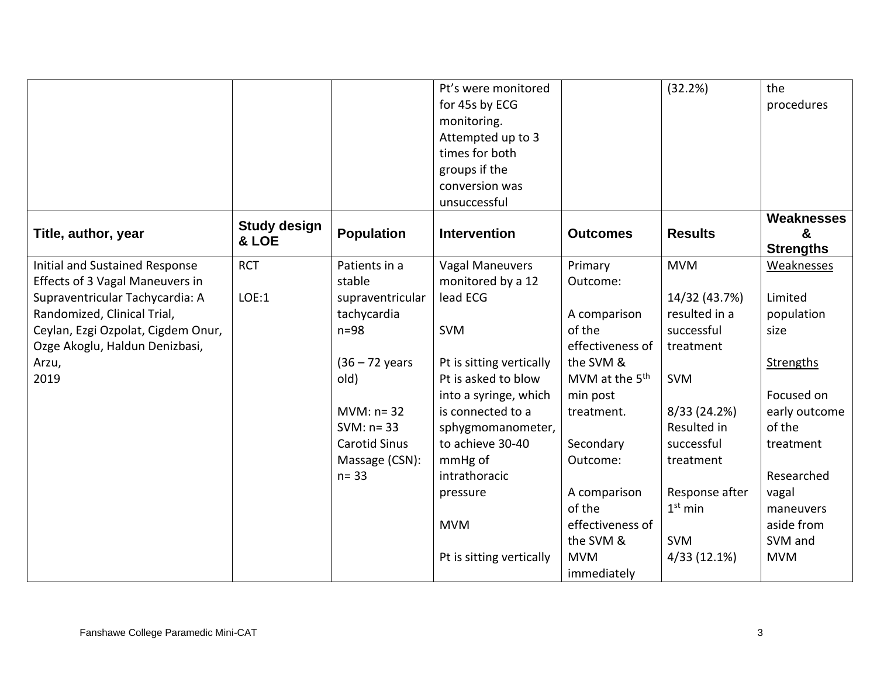|                                        |                              |                      | Pt's were monitored      |                            | (32.2%)        | the               |
|----------------------------------------|------------------------------|----------------------|--------------------------|----------------------------|----------------|-------------------|
|                                        |                              |                      | for 45s by ECG           |                            |                | procedures        |
|                                        |                              |                      | monitoring.              |                            |                |                   |
|                                        |                              |                      | Attempted up to 3        |                            |                |                   |
|                                        |                              |                      | times for both           |                            |                |                   |
|                                        |                              |                      | groups if the            |                            |                |                   |
|                                        |                              |                      | conversion was           |                            |                |                   |
|                                        |                              |                      | unsuccessful             |                            |                |                   |
|                                        |                              |                      |                          |                            |                | <b>Weaknesses</b> |
| Title, author, year                    | <b>Study design</b><br>& LOE | <b>Population</b>    | <b>Intervention</b>      | <b>Outcomes</b>            | <b>Results</b> | &                 |
|                                        |                              |                      |                          |                            |                | <b>Strengths</b>  |
| <b>Initial and Sustained Response</b>  | <b>RCT</b>                   | Patients in a        | <b>Vagal Maneuvers</b>   | Primary                    | <b>MVM</b>     | Weaknesses        |
| <b>Effects of 3 Vagal Maneuvers in</b> |                              | stable               | monitored by a 12        | Outcome:                   |                |                   |
| Supraventricular Tachycardia: A        | <b>LOE:1</b>                 | supraventricular     | lead ECG                 |                            | 14/32 (43.7%)  | Limited           |
| Randomized, Clinical Trial,            |                              | tachycardia          |                          | A comparison               | resulted in a  | population        |
| Ceylan, Ezgi Ozpolat, Cigdem Onur,     |                              | $n=98$               | <b>SVM</b>               | of the                     | successful     | size              |
| Ozge Akoglu, Haldun Denizbasi,         |                              |                      |                          | effectiveness of           | treatment      |                   |
| Arzu,                                  |                              | $(36 - 72$ years     | Pt is sitting vertically | the SVM &                  |                | <b>Strengths</b>  |
| 2019                                   |                              | old)                 | Pt is asked to blow      | MVM at the 5 <sup>th</sup> | <b>SVM</b>     |                   |
|                                        |                              |                      | into a syringe, which    | min post                   |                | Focused on        |
|                                        |                              | $MVM: n=32$          | is connected to a        | treatment.                 | 8/33 (24.2%)   | early outcome     |
|                                        |                              | SVM: $n = 33$        | sphygmomanometer,        |                            | Resulted in    | of the            |
|                                        |                              | <b>Carotid Sinus</b> | to achieve 30-40         | Secondary                  | successful     | treatment         |
|                                        |                              | Massage (CSN):       | mmHg of                  | Outcome:                   | treatment      |                   |
|                                        |                              | $n = 33$             | intrathoracic            |                            |                | Researched        |
|                                        |                              |                      | pressure                 | A comparison               | Response after | vagal             |
|                                        |                              |                      |                          | of the                     | $1st$ min      | maneuvers         |
|                                        |                              |                      | <b>MVM</b>               | effectiveness of           |                | aside from        |
|                                        |                              |                      |                          | the SVM &                  | <b>SVM</b>     | SVM and           |
|                                        |                              |                      | Pt is sitting vertically | <b>MVM</b>                 | 4/33 (12.1%)   | <b>MVM</b>        |
|                                        |                              |                      |                          | immediately                |                |                   |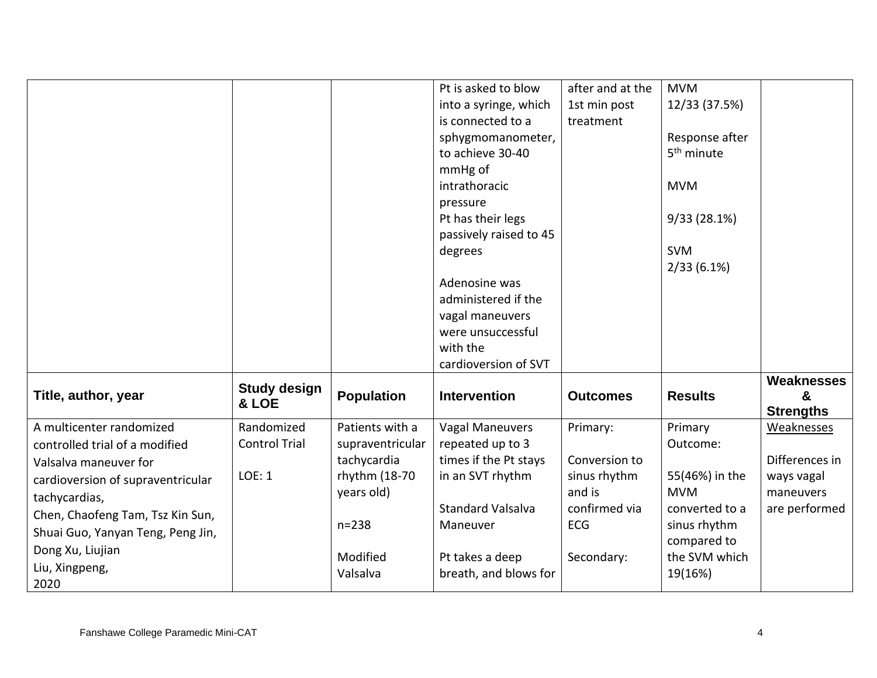|                                   |                      |                   | Pt is asked to blow      | after and at the | <b>MVM</b>             |                                |
|-----------------------------------|----------------------|-------------------|--------------------------|------------------|------------------------|--------------------------------|
|                                   |                      |                   | into a syringe, which    | 1st min post     | 12/33 (37.5%)          |                                |
|                                   |                      |                   | is connected to a        | treatment        |                        |                                |
|                                   |                      |                   | sphygmomanometer,        |                  | Response after         |                                |
|                                   |                      |                   | to achieve 30-40         |                  | 5 <sup>th</sup> minute |                                |
|                                   |                      |                   | mmHg of                  |                  |                        |                                |
|                                   |                      |                   | intrathoracic            |                  | <b>MVM</b>             |                                |
|                                   |                      |                   | pressure                 |                  |                        |                                |
|                                   |                      |                   | Pt has their legs        |                  | 9/33(28.1%)            |                                |
|                                   |                      |                   | passively raised to 45   |                  |                        |                                |
|                                   |                      |                   | degrees                  |                  | <b>SVM</b>             |                                |
|                                   |                      |                   |                          |                  | $2/33(6.1\%)$          |                                |
|                                   |                      |                   | Adenosine was            |                  |                        |                                |
|                                   |                      |                   | administered if the      |                  |                        |                                |
|                                   |                      |                   | vagal maneuvers          |                  |                        |                                |
|                                   |                      |                   | were unsuccessful        |                  |                        |                                |
|                                   |                      |                   | with the                 |                  |                        |                                |
|                                   |                      |                   | cardioversion of SVT     |                  |                        |                                |
|                                   | <b>Study design</b>  |                   |                          |                  |                        | <b>Weaknesses</b>              |
| Title, author, year               | & LOE                | <b>Population</b> | <b>Intervention</b>      | <b>Outcomes</b>  | <b>Results</b>         | &                              |
| A multicenter randomized          | Randomized           | Patients with a   | <b>Vagal Maneuvers</b>   |                  | Primary                | <b>Strengths</b><br>Weaknesses |
|                                   | <b>Control Trial</b> | supraventricular  | repeated up to 3         | Primary:         | Outcome:               |                                |
| controlled trial of a modified    |                      | tachycardia       | times if the Pt stays    | Conversion to    |                        | Differences in                 |
| Valsalva maneuver for             | <b>LOE: 1</b>        | rhythm (18-70     | in an SVT rhythm         | sinus rhythm     | 55(46%) in the         | ways vagal                     |
| cardioversion of supraventricular |                      | years old)        |                          | and is           | <b>MVM</b>             | maneuvers                      |
| tachycardias,                     |                      |                   | <b>Standard Valsalva</b> | confirmed via    | converted to a         | are performed                  |
| Chen, Chaofeng Tam, Tsz Kin Sun,  |                      | $n = 238$         | Maneuver                 | <b>ECG</b>       | sinus rhythm           |                                |
| Shuai Guo, Yanyan Teng, Peng Jin, |                      |                   |                          |                  | compared to            |                                |
| Dong Xu, Liujian                  |                      | Modified          | Pt takes a deep          | Secondary:       | the SVM which          |                                |
| Liu, Xingpeng,                    |                      | Valsalva          | breath, and blows for    |                  | 19(16%)                |                                |
| 2020                              |                      |                   |                          |                  |                        |                                |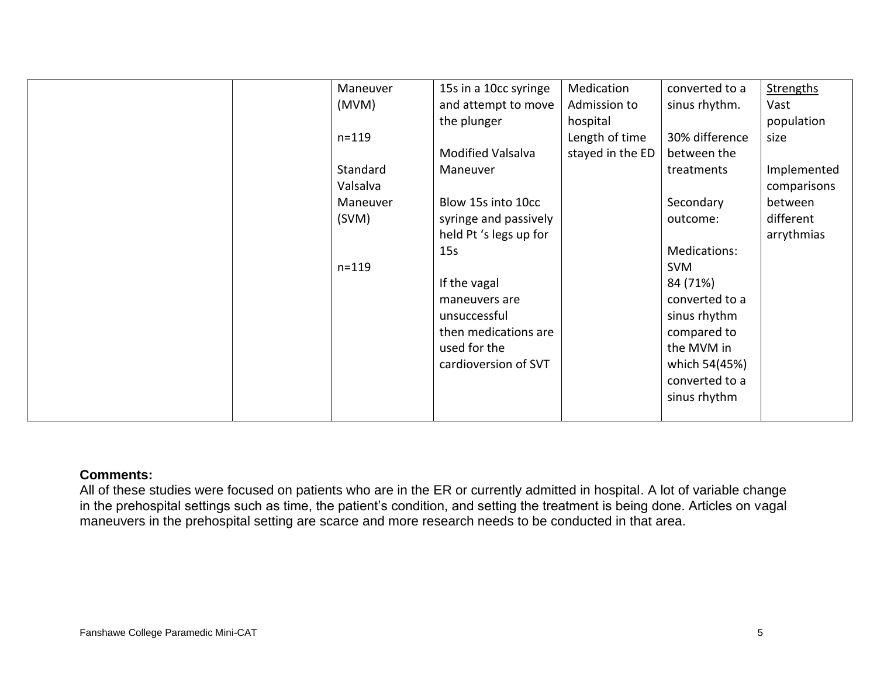| Maneuver<br>(MVM)<br>$n = 119$<br>Standard<br>Valsalva<br>Maneuver<br>(SVM)<br>$n = 119$ | 15s in a 10cc syringe<br>and attempt to move<br>the plunger<br><b>Modified Valsalva</b><br>Maneuver<br>Blow 15s into 10cc<br>syringe and passively<br>held Pt 's legs up for<br>15s<br>If the vagal | Medication<br>Admission to<br>hospital<br>Length of time<br>stayed in the ED | converted to a<br>sinus rhythm.<br>30% difference<br>between the<br>treatments<br>Secondary<br>outcome:<br>Medications:<br><b>SVM</b><br>84 (71%) | Strengths<br>Vast<br>population<br>size<br>Implemented<br>comparisons<br>between<br>different<br>arrythmias |
|------------------------------------------------------------------------------------------|-----------------------------------------------------------------------------------------------------------------------------------------------------------------------------------------------------|------------------------------------------------------------------------------|---------------------------------------------------------------------------------------------------------------------------------------------------|-------------------------------------------------------------------------------------------------------------|
|                                                                                          |                                                                                                                                                                                                     |                                                                              |                                                                                                                                                   |                                                                                                             |
|                                                                                          |                                                                                                                                                                                                     |                                                                              |                                                                                                                                                   |                                                                                                             |
|                                                                                          |                                                                                                                                                                                                     |                                                                              |                                                                                                                                                   |                                                                                                             |
|                                                                                          |                                                                                                                                                                                                     |                                                                              |                                                                                                                                                   |                                                                                                             |
|                                                                                          |                                                                                                                                                                                                     |                                                                              |                                                                                                                                                   |                                                                                                             |
|                                                                                          | maneuvers are                                                                                                                                                                                       |                                                                              | converted to a                                                                                                                                    |                                                                                                             |
|                                                                                          | unsuccessful                                                                                                                                                                                        |                                                                              |                                                                                                                                                   |                                                                                                             |
|                                                                                          | then medications are                                                                                                                                                                                |                                                                              | sinus rhythm                                                                                                                                      |                                                                                                             |
|                                                                                          | used for the                                                                                                                                                                                        |                                                                              | compared to<br>the MVM in                                                                                                                         |                                                                                                             |
|                                                                                          |                                                                                                                                                                                                     |                                                                              |                                                                                                                                                   |                                                                                                             |
|                                                                                          | cardioversion of SVT                                                                                                                                                                                |                                                                              | which 54(45%)                                                                                                                                     |                                                                                                             |
|                                                                                          |                                                                                                                                                                                                     |                                                                              | converted to a                                                                                                                                    |                                                                                                             |
|                                                                                          |                                                                                                                                                                                                     |                                                                              | sinus rhythm                                                                                                                                      |                                                                                                             |
|                                                                                          |                                                                                                                                                                                                     |                                                                              |                                                                                                                                                   |                                                                                                             |

## **Comments:**

All of these studies were focused on patients who are in the ER or currently admitted in hospital. A lot of variable change in the prehospital settings such as time, the patient's condition, and setting the treatment is being done. Articles on vagal maneuvers in the prehospital setting are scarce and more research needs to be conducted in that area.